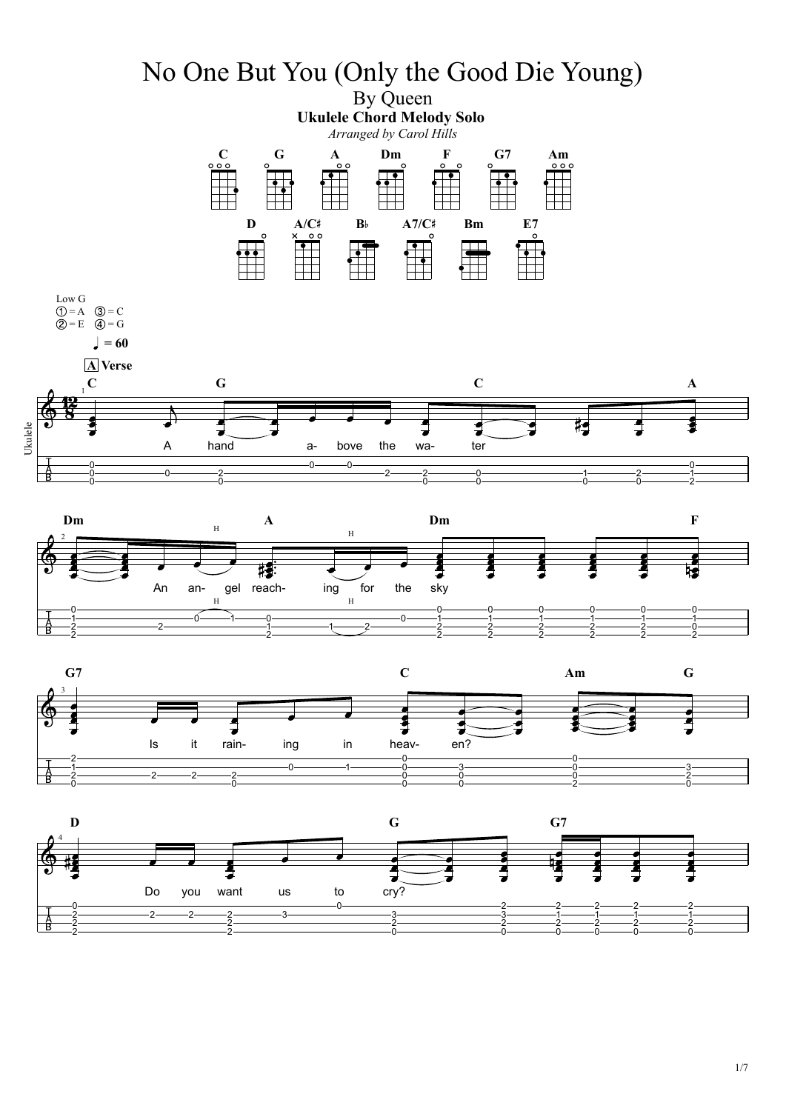



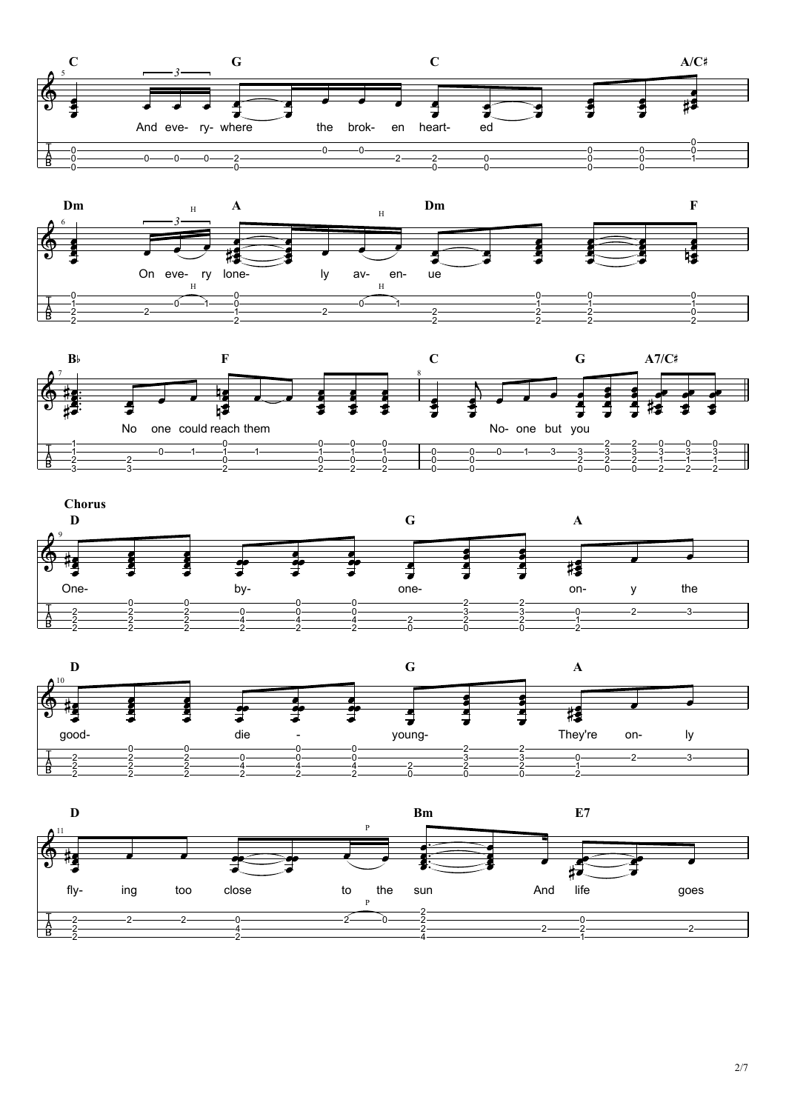









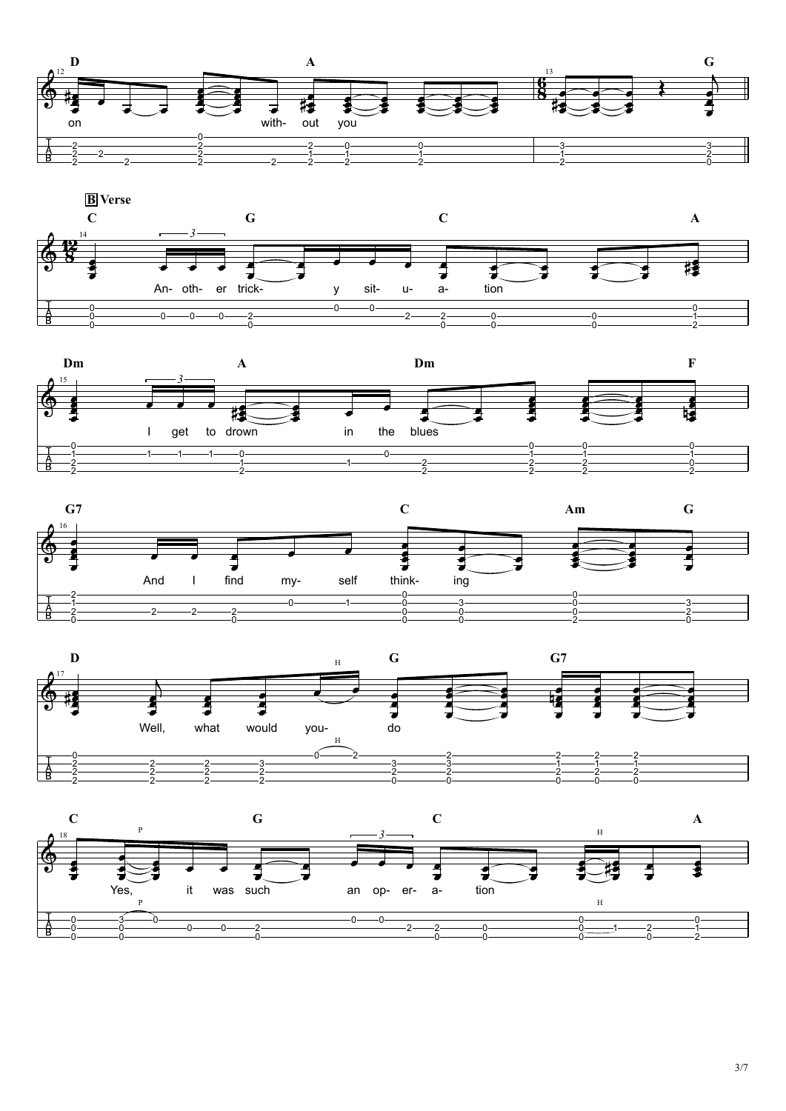









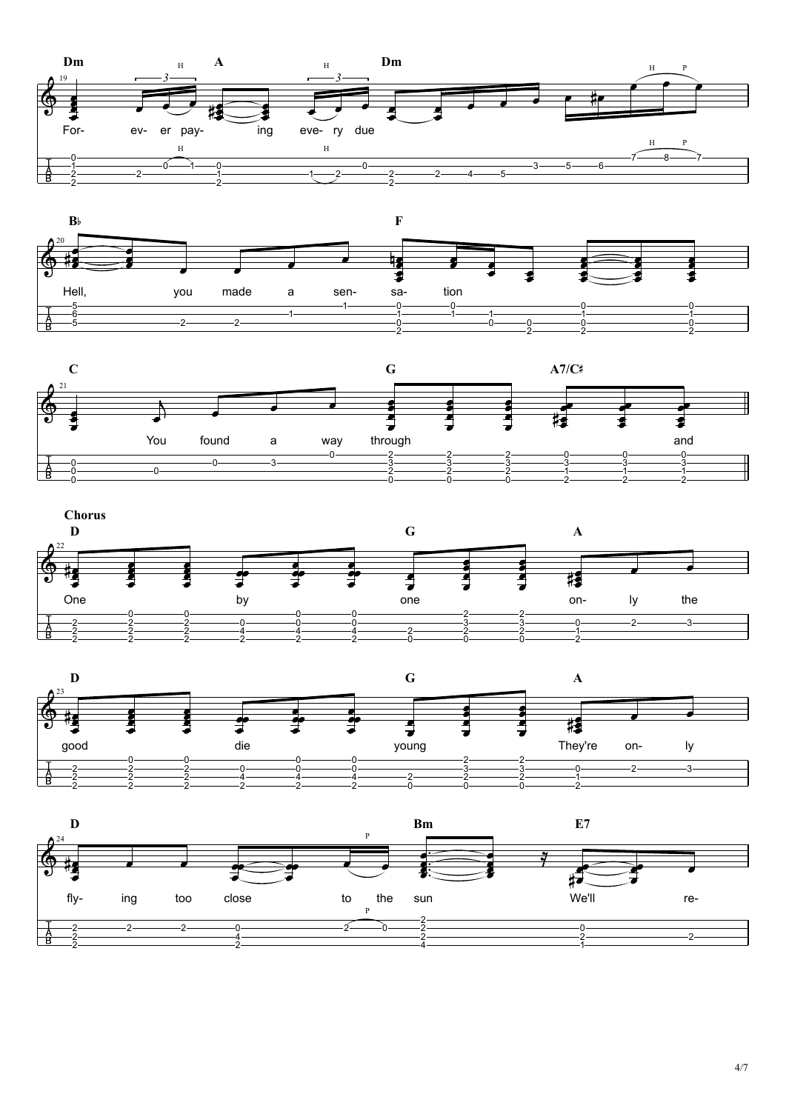









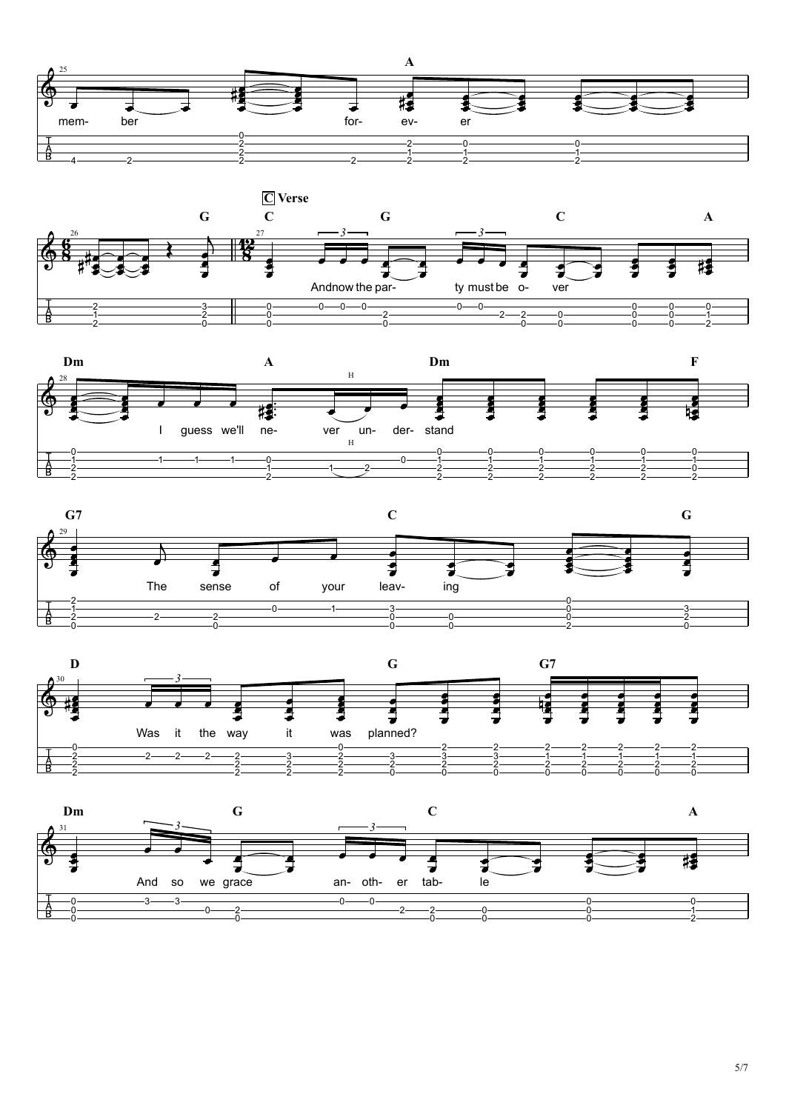









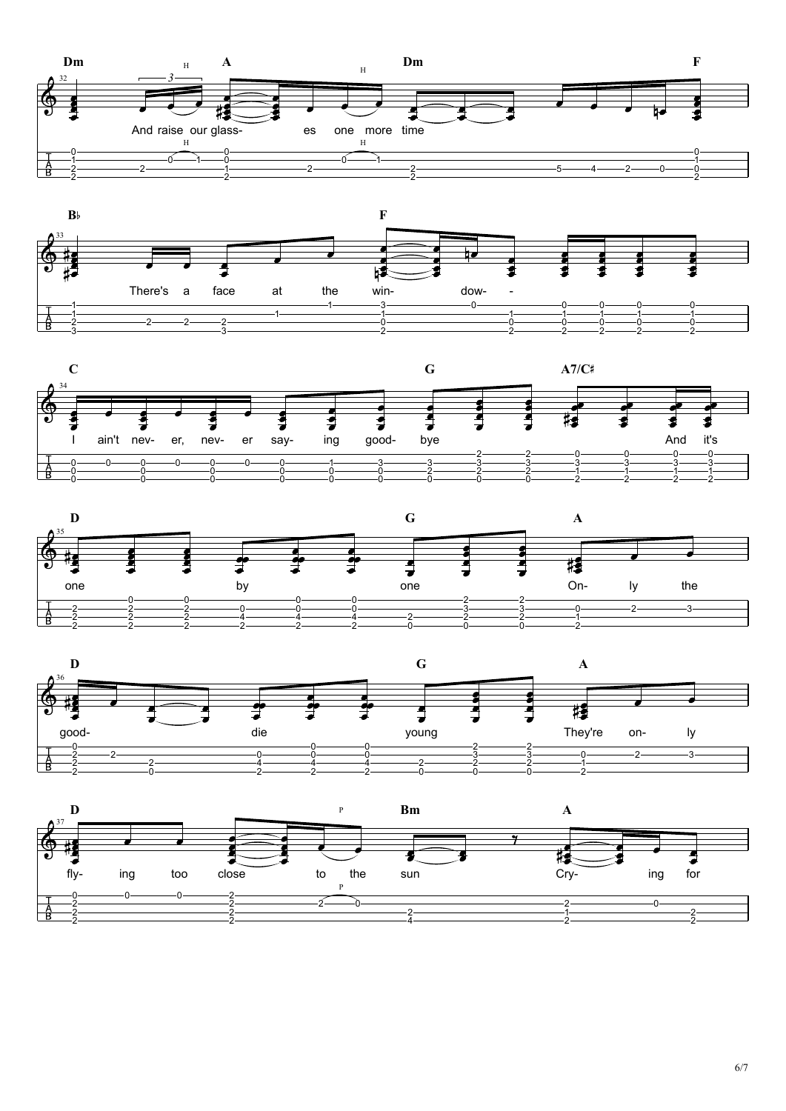